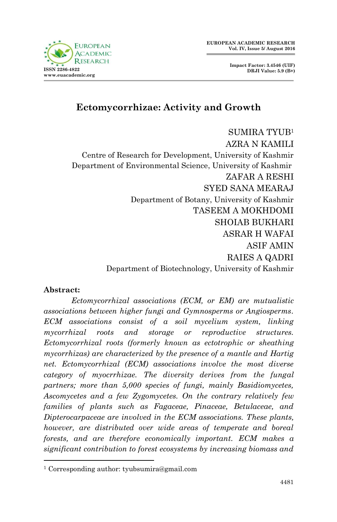

# **Ectomycorrhizae: Activity and Growth**

SUMIRA TYUB<sup>1</sup> AZRA N KAMILI Centre of Research for Development, University of Kashmir Department of Environmental Science, University of Kashmir ZAFAR A RESHI SYED SANA MEARAJ Department of Botany, University of Kashmir TASEEM A MOKHDOMI SHOIAB BUKHARI ASRAR H WAFAI ASIF AMIN RAIES A QADRI Department of Biotechnology, University of Kashmir

### **Abstract:**

1

*Ectomycorrhizal associations (ECM, or EM) are mutualistic associations between higher fungi and Gymnosperms or Angiosperms. ECM associations consist of a soil mycelium system, linking mycorrhizal roots and storage or reproductive structures. Ectomycorrhizal roots (formerly known as ectotrophic or sheathing mycorrhizas) are characterized by the presence of a mantle and Hartig net. Ectomycorrhizal (ECM) associations involve the most diverse category of myocrrhizae. The diversity derives from the fungal partners; more than 5,000 species of fungi, mainly Basidiomycetes, Ascomycetes and a few Zygomycetes. On the contrary relatively few families of plants such as Fagaceae, Pinaceae, Betulaceae, and Dipterocarpaceae are involved in the ECM associations. These plants, however, are distributed over wide areas of temperate and boreal forests, and are therefore economically important. ECM makes a significant contribution to forest ecosystems by increasing biomass and* 

<sup>1</sup> Corresponding author: tyubsumira@gmail.com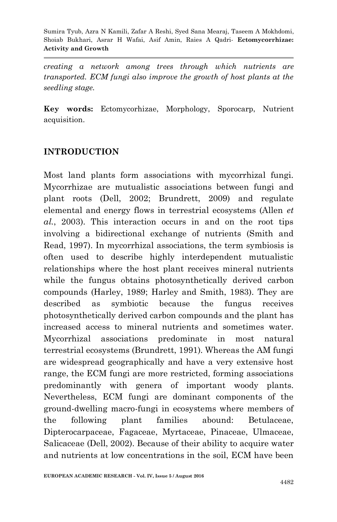*creating a network among trees through which nutrients are transported. ECM fungi also improve the growth of host plants at the seedling stage.*

**Key words:** Ectomycorhizae, Morphology, Sporocarp, Nutrient acquisition.

# **INTRODUCTION**

Most land plants form associations with mycorrhizal fungi. Mycorrhizae are mutualistic associations between fungi and plant roots (Dell, 2002; Brundrett, 2009) and regulate elemental and energy flows in terrestrial ecosystems (Allen *et al.*, 2003). This interaction occurs in and on the root tips involving a bidirectional exchange of nutrients (Smith and Read, 1997). In mycorrhizal associations, the term symbiosis is often used to describe highly interdependent mutualistic relationships where the host plant receives mineral nutrients while the fungus obtains photosynthetically derived carbon compounds (Harley, 1989; Harley and Smith, 1983). They are described as symbiotic because the fungus receives photosynthetically derived carbon compounds and the plant has increased access to mineral nutrients and sometimes water. Mycorrhizal associations predominate in most natural terrestrial ecosystems (Brundrett, 1991). Whereas the AM fungi are widespread geographically and have a very extensive host range, the ECM fungi are more restricted, forming associations predominantly with genera of important woody plants. Nevertheless, ECM fungi are dominant components of the ground-dwelling macro-fungi in ecosystems where members of the following plant families abound: Betulaceae, Dipterocarpaceae, Fagaceae, Myrtaceae, Pinaceae, Ulmaceae, Salicaceae (Dell, 2002). Because of their ability to acquire water and nutrients at low concentrations in the soil, ECM have been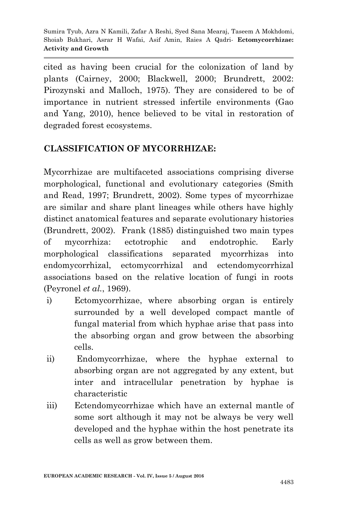cited as having been crucial for the colonization of land by plants (Cairney, 2000; Blackwell, 2000; Brundrett, 2002: Pirozynski and Malloch, 1975). They are considered to be of importance in nutrient stressed infertile environments (Gao and Yang, 2010), hence believed to be vital in restoration of degraded forest ecosystems.

# **CLASSIFICATION OF MYCORRHIZAE:**

Mycorrhizae are multifaceted associations comprising diverse morphological, functional and evolutionary categories (Smith and Read, 1997; Brundrett, 2002). Some types of mycorrhizae are similar and share plant lineages while others have highly distinct anatomical features and separate evolutionary histories (Brundrett, 2002). Frank (1885) distinguished two main types of mycorrhiza: ectotrophic and endotrophic. Early morphological classifications separated mycorrhizas into endomycorrhizal, ectomycorrhizal and ectendomycorrhizal associations based on the relative location of fungi in roots (Peyronel *et al.*, 1969).

- i) Ectomycorrhizae, where absorbing organ is entirely surrounded by a well developed compact mantle of fungal material from which hyphae arise that pass into the absorbing organ and grow between the absorbing cells.
- ii) Endomycorrhizae, where the hyphae external to absorbing organ are not aggregated by any extent, but inter and intracellular penetration by hyphae is characteristic
- iii) Ectendomycorrhizae which have an external mantle of some sort although it may not be always be very well developed and the hyphae within the host penetrate its cells as well as grow between them.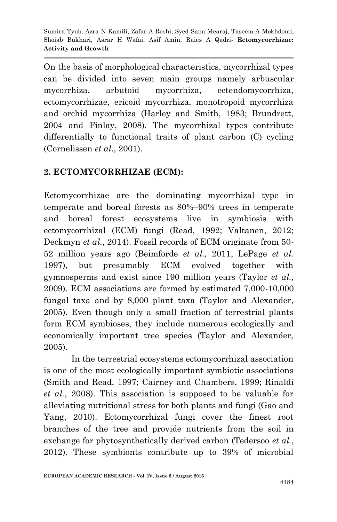On the basis of morphological characteristics, mycorrhizal types can be divided into seven main groups namely arbuscular mycorrhiza, arbutoid mycorrhiza, ectendomycorrhiza, ectomycorrhizae, ericoid mycorrhiza, monotropoid mycorrhiza and orchid mycorrhiza (Harley and Smith, 1983; Brundrett, 2004 and Finlay, 2008). The mycorrhizal types contribute differentially to functional traits of plant carbon (C) cycling (Cornelissen *et al*., 2001).

# **2. ECTOMYCORRHIZAE (ECM):**

Ectomycorrhizae are the dominating mycorrhizal type in temperate and boreal forests as 80%–90% trees in temperate and boreal forest ecosystems live in symbiosis with ectomycorrhizal (ECM) fungi (Read, 1992; Valtanen, 2012; Deckmyn *et al.*, 2014). Fossil records of ECM originate from 50- 52 million years ago (Beimforde *et al.,* 2011, LePage *et al.* 1997), but presumably ECM evolved together with gymnosperms and exist since 190 million years (Taylor *et al.,* 2009). ECM associations are formed by estimated 7,000-10,000 fungal taxa and by 8,000 plant taxa (Taylor and Alexander, 2005). Even though only a small fraction of terrestrial plants form ECM symbioses, they include numerous ecologically and economically important tree species (Taylor and Alexander, 2005).

In the terrestrial ecosystems ectomycorrhizal association is one of the most ecologically important symbiotic associations (Smith and Read, 1997; Cairney and Chambers, 1999; Rinaldi *et al.*, 2008). This association is supposed to be valuable for alleviating nutritional stress for both plants and fungi (Gao and Yang, 2010). Ectomycorrhizal fungi cover the finest root branches of the tree and provide nutrients from the soil in exchange for phytosynthetically derived carbon (Tedersoo *et al.*, 2012). These symbionts contribute up to 39% of microbial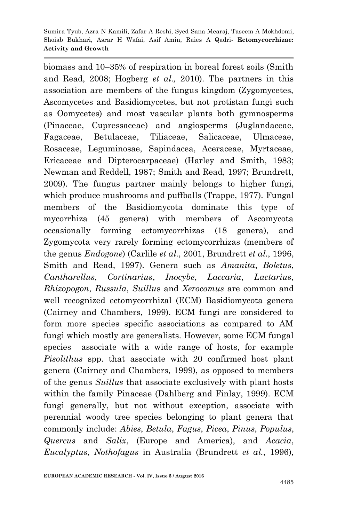biomass and 10–35% of respiration in boreal forest soils (Smith and Read, 2008; Hogberg *et al.,* 2010). The partners in this association are members of the fungus kingdom (Zygomycetes, Ascomycetes and Basidiomycetes, but not protistan fungi such as Oomycetes) and most vascular plants both gymnosperms (Pinaceae, Cupressaceae) and angiosperms (Juglandaceae, Fagaceae, Betulaceae, Tiliaceae, Salicaceae, Ulmaceae, Rosaceae, Leguminosae, Sapindacea, Aceraceae, Myrtaceae, Ericaceae and Dipterocarpaceae) (Harley and Smith, 1983; Newman and Reddell, 1987; Smith and Read, 1997; Brundrett, 2009). The fungus partner mainly belongs to higher fungi, which produce mushrooms and puffballs (Trappe, 1977). Fungal members of the Basidiomycota dominate this type of mycorrhiza (45 genera) with members of Ascomycota occasionally forming ectomycorrhizas (18 genera), and Zygomycota very rarely forming ectomycorrhizas (members of the genus *Endogone*) (Carlile *et al.*, 2001, Brundrett *et al.*, 1996, Smith and Read, 1997). Genera such as *Amanita*, *Boletus*, *Cantharellus*, *Cortinarius*, *Inocybe*, *Laccaria*, *Lactarius*, *Rhizopogon*, *Russula*, *Suillu*s and *Xerocomus* are common and well recognized ectomycorrhizal (ECM) Basidiomycota genera (Cairney and Chambers, 1999). ECM fungi are considered to form more species specific associations as compared to AM fungi which mostly are generalists. However, some ECM fungal species associate with a wide range of hosts, for example *Pisolithus* spp. that associate with 20 confirmed host plant genera (Cairney and Chambers, 1999), as opposed to members of the genus *Suillus* that associate exclusively with plant hosts within the family Pinaceae (Dahlberg and Finlay, 1999). ECM fungi generally, but not without exception, associate with perennial woody tree species belonging to plant genera that commonly include: *Abies*, *Betula*, *Fagus*, *Picea*, *Pinus*, *Populus*, *Quercus* and *Salix*, (Europe and America), and *Acacia*, *Eucalyptus*, *Nothofagus* in Australia (Brundrett *et al.*, 1996),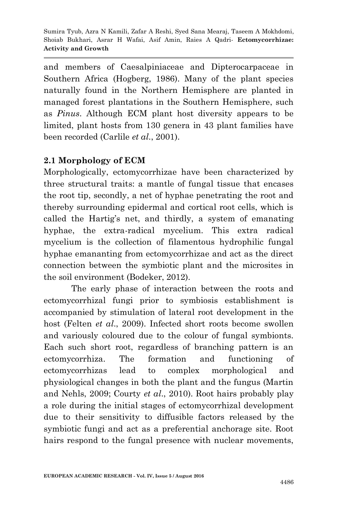and members of Caesalpiniaceae and Dipterocarpaceae in Southern Africa (Hogberg, 1986). Many of the plant species naturally found in the Northern Hemisphere are planted in managed forest plantations in the Southern Hemisphere, such as *Pinus*. Although ECM plant host diversity appears to be limited, plant hosts from 130 genera in 43 plant families have been recorded (Carlile *et al.*, 2001).

### **2.1 Morphology of ECM**

Morphologically, ectomycorrhizae have been characterized by three structural traits: a mantle of fungal tissue that encases the root tip, secondly, a net of hyphae penetrating the root and thereby surrounding epidermal and cortical root cells, which is called the Hartig's net, and thirdly, a system of emanating hyphae, the extra-radical mycelium. This extra radical mycelium is the collection of filamentous hydrophilic fungal hyphae emananting from ectomycorrhizae and act as the direct connection between the symbiotic plant and the microsites in the soil environment (Bodeker, 2012).

The early phase of interaction between the roots and ectomycorrhizal fungi prior to symbiosis establishment is accompanied by stimulation of lateral root development in the host (Felten *et al*., 2009). Infected short roots become swollen and variously coloured due to the colour of fungal symbionts. Each such short root, regardless of branching pattern is an ectomycorrhiza. The formation and functioning of ectomycorrhizas lead to complex morphological and physiological changes in both the plant and the fungus (Martin and Nehls, 2009; Courty *et al*., 2010). Root hairs probably play a role during the initial stages of ectomycorrhizal development due to their sensitivity to diffusible factors released by the symbiotic fungi and act as a preferential anchorage site. Root hairs respond to the fungal presence with nuclear movements,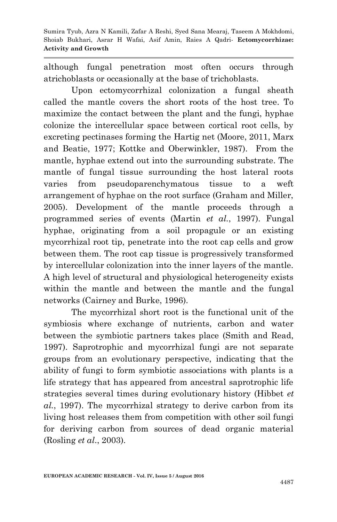although fungal penetration most often occurs through atrichoblasts or occasionally at the base of trichoblasts.

Upon ectomycorrhizal colonization a fungal sheath called the mantle covers the short roots of the host tree. To maximize the contact between the plant and the fungi, hyphae colonize the intercellular space between cortical root cells, by excreting pectinases forming the Hartig net (Moore, 2011, Marx and Beatie, 1977; Kottke and Oberwinkler, 1987). From the mantle, hyphae extend out into the surrounding substrate. The mantle of fungal tissue surrounding the host lateral roots varies from pseudoparenchymatous tissue to a weft arrangement of hyphae on the root surface (Graham and Miller, 2005). Development of the mantle proceeds through a programmed series of events (Martin *et al.*, 1997). Fungal hyphae, originating from a soil propagule or an existing mycorrhizal root tip, penetrate into the root cap cells and grow between them. The root cap tissue is progressively transformed by intercellular colonization into the inner layers of the mantle. A high level of structural and physiological heterogeneity exists within the mantle and between the mantle and the fungal networks (Cairney and Burke, 1996).

The mycorrhizal short root is the functional unit of the symbiosis where exchange of nutrients, carbon and water between the symbiotic partners takes place (Smith and Read, 1997). Saprotrophic and mycorrhizal fungi are not separate groups from an evolutionary perspective, indicating that the ability of fungi to form symbiotic associations with plants is a life strategy that has appeared from ancestral saprotrophic life strategies several times during evolutionary history (Hibbet *et al.*, 1997). The mycorrhizal strategy to derive carbon from its living host releases them from competition with other soil fungi for deriving carbon from sources of dead organic material (Rosling *et al*., 2003).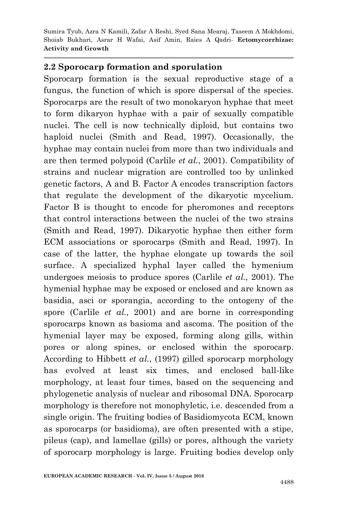#### **2.2 Sporocarp formation and sporulation**

Sporocarp formation is the sexual reproductive stage of a fungus, the function of which is spore dispersal of the species. Sporocarps are the result of two monokaryon hyphae that meet to form dikaryon hyphae with a pair of sexually compatible nuclei. The cell is now technically diploid, but contains two haploid nuclei (Smith and Read, 1997). Occasionally, the hyphae may contain nuclei from more than two individuals and are then termed polypoid (Carlile *et al.*, 2001). Compatibility of strains and nuclear migration are controlled too by unlinked genetic factors, A and B. Factor A encodes transcription factors that regulate the development of the dikaryotic mycelium. Factor B is thought to encode for pheromones and receptors that control interactions between the nuclei of the two strains (Smith and Read, 1997). Dikaryotic hyphae then either form ECM associations or sporocarps (Smith and Read, 1997). In case of the latter, the hyphae elongate up towards the soil surface. A specialized hyphal layer called the hymenium undergoes meiosis to produce spores (Carlile *et al.*, 2001). The hymenial hyphae may be exposed or enclosed and are known as basidia, asci or sporangia, according to the ontogeny of the spore (Carlile *et al.*, 2001) and are borne in corresponding sporocarps known as basioma and ascoma. The position of the hymenial layer may be exposed, forming along gills, within pores or along spines, or enclosed within the sporocarp. According to Hibbett *et al.*, (1997) gilled sporocarp morphology has evolved at least six times, and enclosed ball-like morphology, at least four times, based on the sequencing and phylogenetic analysis of nuclear and ribosomal DNA. Sporocarp morphology is therefore not monophyletic, i.e. descended from a single origin. The fruiting bodies of Basidiomycota ECM, known as sporocarps (or basidioma), are often presented with a stipe, pileus (cap), and lamellae (gills) or pores, although the variety of sporocarp morphology is large. Fruiting bodies develop only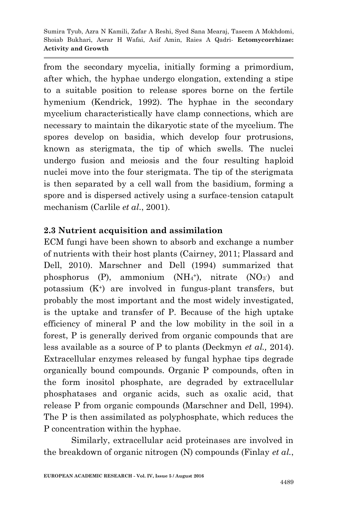from the secondary mycelia, initially forming a primordium, after which, the hyphae undergo elongation, extending a stipe to a suitable position to release spores borne on the fertile hymenium (Kendrick, 1992). The hyphae in the secondary mycelium characteristically have clamp connections, which are necessary to maintain the dikaryotic state of the mycelium. The spores develop on basidia, which develop four protrusions, known as sterigmata, the tip of which swells. The nuclei undergo fusion and meiosis and the four resulting haploid nuclei move into the four sterigmata. The tip of the sterigmata is then separated by a cell wall from the basidium, forming a spore and is dispersed actively using a surface-tension catapult mechanism (Carlile *et al.*, 2001).

### **2.3 Nutrient acquisition and assimilation**

ECM fungi have been shown to absorb and exchange a number of nutrients with their host plants (Cairney, 2011; Plassard and Dell, 2010). Marschner and Dell (1994) summarized that phosphorus  $(P)$ , ammonium  $(NH_4^+)$ , nitrate  $(NO_3)$  and potassium (K+) are involved in fungus-plant transfers, but probably the most important and the most widely investigated, is the uptake and transfer of P. Because of the high uptake efficiency of mineral P and the low mobility in the soil in a forest, P is generally derived from organic compounds that are less available as a source of P to plants (Deckmyn *et al.,* 2014). Extracellular enzymes released by fungal hyphae tips degrade organically bound compounds. Organic P compounds, often in the form inositol phosphate, are degraded by extracellular phosphatases and organic acids, such as oxalic acid, that release P from organic compounds (Marschner and Dell, 1994). The P is then assimilated as polyphosphate, which reduces the P concentration within the hyphae.

Similarly, extracellular acid proteinases are involved in the breakdown of organic nitrogen (N) compounds (Finlay *et al.*,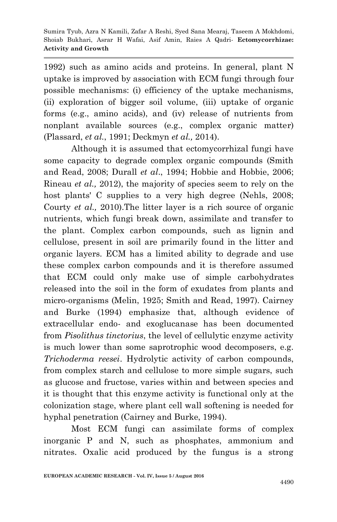1992) such as amino acids and proteins. In general, plant N uptake is improved by association with ECM fungi through four possible mechanisms: (i) efficiency of the uptake mechanisms, (ii) exploration of bigger soil volume, (iii) uptake of organic forms (e.g., amino acids), and (iv) release of nutrients from nonplant available sources (e.g., complex organic matter) (Plassard, *et al.*, 1991; Deckmyn *et al.,* 2014).

Although it is assumed that ectomycorrhizal fungi have some capacity to degrade complex organic compounds (Smith and Read, 2008; Durall *et al*., 1994; Hobbie and Hobbie, 2006; Rineau *et al.,* 2012), the majority of species seem to rely on the host plants' C supplies to a very high degree (Nehls, 2008; Courty *et al.,* 2010).The litter layer is a rich source of organic nutrients, which fungi break down, assimilate and transfer to the plant. Complex carbon compounds, such as lignin and cellulose, present in soil are primarily found in the litter and organic layers. ECM has a limited ability to degrade and use these complex carbon compounds and it is therefore assumed that ECM could only make use of simple carbohydrates released into the soil in the form of exudates from plants and micro-organisms (Melin, 1925; Smith and Read, 1997). Cairney and Burke (1994) emphasize that, although evidence of extracellular endo- and exoglucanase has been documented from *Pisolithus tinctorius*, the level of cellulytic enzyme activity is much lower than some saprotrophic wood decomposers, e.g. *Trichoderma reesei*. Hydrolytic activity of carbon compounds, from complex starch and cellulose to more simple sugars, such as glucose and fructose, varies within and between species and it is thought that this enzyme activity is functional only at the colonization stage, where plant cell wall softening is needed for hyphal penetration (Cairney and Burke, 1994).

Most ECM fungi can assimilate forms of complex inorganic P and N, such as phosphates, ammonium and nitrates. Oxalic acid produced by the fungus is a strong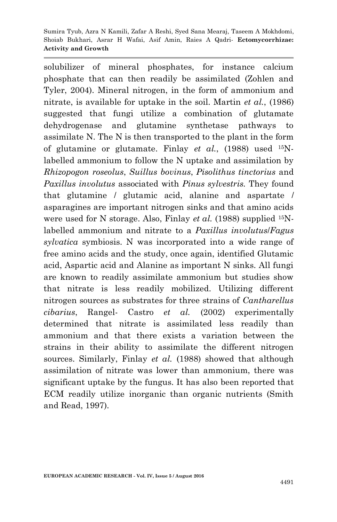solubilizer of mineral phosphates, for instance calcium phosphate that can then readily be assimilated (Zohlen and Tyler, 2004). Mineral nitrogen, in the form of ammonium and nitrate, is available for uptake in the soil. Martin *et al.*, (1986) suggested that fungi utilize a combination of glutamate dehydrogenase and glutamine synthetase pathways to assimilate N. The N is then transported to the plant in the form of glutamine or glutamate. Finlay *et al.*, (1988) used 15Nlabelled ammonium to follow the N uptake and assimilation by *Rhizopogon roseolus*, *Suillus bovinus*, *Pisolithus tinctorius* and *Paxillus involutus* associated with *Pinus sylvestris.* They found that glutamine / glutamic acid, alanine and aspartate / asparagines are important nitrogen sinks and that amino acids were used for N storage. Also, Finlay *et al.* (1988) supplied <sup>15</sup>Nlabelled ammonium and nitrate to a *Paxillus involutus*/*Fagus sylvatica* symbiosis. N was incorporated into a wide range of free amino acids and the study, once again, identified Glutamic acid, Aspartic acid and Alanine as important N sinks. All fungi are known to readily assimilate ammonium but studies show that nitrate is less readily mobilized. Utilizing different nitrogen sources as substrates for three strains of *Cantharellus cibarius*, Rangel- Castro *et al.* (2002) experimentally determined that nitrate is assimilated less readily than ammonium and that there exists a variation between the strains in their ability to assimilate the different nitrogen sources. Similarly, Finlay *et al.* (1988) showed that although assimilation of nitrate was lower than ammonium, there was significant uptake by the fungus. It has also been reported that ECM readily utilize inorganic than organic nutrients (Smith and Read, 1997).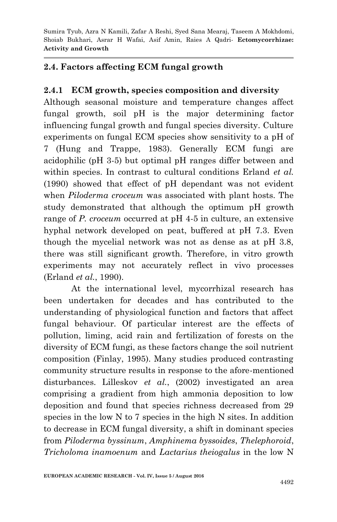# **2.4. Factors affecting ECM fungal growth**

# **2.4.1 ECM growth, species composition and diversity**

Although seasonal moisture and temperature changes affect fungal growth, soil pH is the major determining factor influencing fungal growth and fungal species diversity. Culture experiments on fungal ECM species show sensitivity to a pH of 7 (Hung and Trappe, 1983). Generally ECM fungi are acidophilic (pH 3-5) but optimal pH ranges differ between and within species. In contrast to cultural conditions Erland *et al.* (1990) showed that effect of pH dependant was not evident when *Piloderma croceum* was associated with plant hosts. The study demonstrated that although the optimum pH growth range of *P. croceum* occurred at pH 4-5 in culture, an extensive hyphal network developed on peat, buffered at pH 7.3. Even though the mycelial network was not as dense as at pH 3.8, there was still significant growth. Therefore, in vitro growth experiments may not accurately reflect in vivo processes (Erland *et al.*, 1990).

At the international level, mycorrhizal research has been undertaken for decades and has contributed to the understanding of physiological function and factors that affect fungal behaviour. Of particular interest are the effects of pollution, liming, acid rain and fertilization of forests on the diversity of ECM fungi, as these factors change the soil nutrient composition (Finlay, 1995). Many studies produced contrasting community structure results in response to the afore-mentioned disturbances. Lilleskov *et al.*, (2002) investigated an area comprising a gradient from high ammonia deposition to low deposition and found that species richness decreased from 29 species in the low N to 7 species in the high N sites. In addition to decrease in ECM fungal diversity, a shift in dominant species from *Piloderma byssinum*, *Amphinema byssoides*, *Thelephoroid*, *Tricholoma inamoenum* and *Lactarius theiogalus* in the low N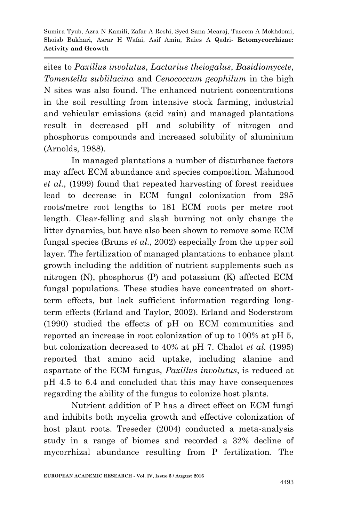sites to *Paxillus involutus*, *Lactarius theiogalus*, *Basidiomycete*, *Tomentella sublilacina* and *Cenococcum geophilum* in the high N sites was also found. The enhanced nutrient concentrations in the soil resulting from intensive stock farming, industrial and vehicular emissions (acid rain) and managed plantations result in decreased pH and solubility of nitrogen and phosphorus compounds and increased solubility of aluminium (Arnolds, 1988).

In managed plantations a number of disturbance factors may affect ECM abundance and species composition. Mahmood *et al.*, (1999) found that repeated harvesting of forest residues lead to decrease in ECM fungal colonization from 295 roots/metre root lengths to 181 ECM roots per metre root length. Clear-felling and slash burning not only change the litter dynamics, but have also been shown to remove some ECM fungal species (Bruns *et al.*, 2002) especially from the upper soil layer. The fertilization of managed plantations to enhance plant growth including the addition of nutrient supplements such as nitrogen (N), phosphorus (P) and potassium (K) affected ECM fungal populations. These studies have concentrated on shortterm effects, but lack sufficient information regarding longterm effects (Erland and Taylor, 2002). Erland and Soderstrom (1990) studied the effects of pH on ECM communities and reported an increase in root colonization of up to 100% at pH 5, but colonization decreased to 40% at pH 7. Chalot *et al.* (1995) reported that amino acid uptake, including alanine and aspartate of the ECM fungus, *Paxillus involutus*, is reduced at pH 4.5 to 6.4 and concluded that this may have consequences regarding the ability of the fungus to colonize host plants.

Nutrient addition of P has a direct effect on ECM fungi and inhibits both mycelia growth and effective colonization of host plant roots. Treseder (2004) conducted a meta-analysis study in a range of biomes and recorded a 32% decline of mycorrhizal abundance resulting from P fertilization. The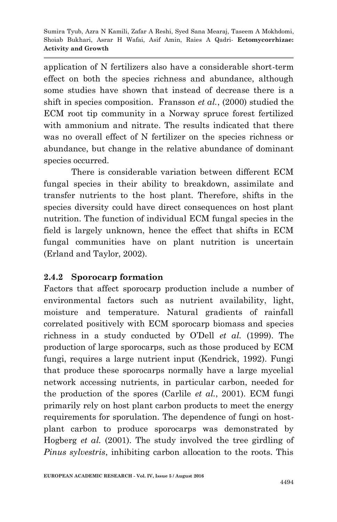application of N fertilizers also have a considerable short-term effect on both the species richness and abundance, although some studies have shown that instead of decrease there is a shift in species composition. Fransson *et al.*, (2000) studied the ECM root tip community in a Norway spruce forest fertilized with ammonium and nitrate. The results indicated that there was no overall effect of N fertilizer on the species richness or abundance, but change in the relative abundance of dominant species occurred.

There is considerable variation between different ECM fungal species in their ability to breakdown, assimilate and transfer nutrients to the host plant. Therefore, shifts in the species diversity could have direct consequences on host plant nutrition. The function of individual ECM fungal species in the field is largely unknown, hence the effect that shifts in ECM fungal communities have on plant nutrition is uncertain (Erland and Taylor, 2002).

### **2.4.2 Sporocarp formation**

Factors that affect sporocarp production include a number of environmental factors such as nutrient availability, light, moisture and temperature. Natural gradients of rainfall correlated positively with ECM sporocarp biomass and species richness in a study conducted by O'Dell *et al.* (1999). The production of large sporocarps, such as those produced by ECM fungi, requires a large nutrient input (Kendrick, 1992). Fungi that produce these sporocarps normally have a large mycelial network accessing nutrients, in particular carbon, needed for the production of the spores (Carlile *et al.*, 2001). ECM fungi primarily rely on host plant carbon products to meet the energy requirements for sporulation. The dependence of fungi on hostplant carbon to produce sporocarps was demonstrated by Hogberg *et al.* (2001). The study involved the tree girdling of *Pinus sylvestris*, inhibiting carbon allocation to the roots. This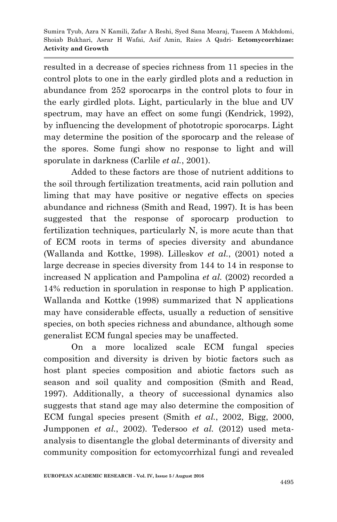resulted in a decrease of species richness from 11 species in the control plots to one in the early girdled plots and a reduction in abundance from 252 sporocarps in the control plots to four in the early girdled plots. Light, particularly in the blue and UV spectrum, may have an effect on some fungi (Kendrick, 1992), by influencing the development of phototropic sporocarps. Light may determine the position of the sporocarp and the release of the spores. Some fungi show no response to light and will sporulate in darkness (Carlile *et al.*, 2001).

Added to these factors are those of nutrient additions to the soil through fertilization treatments, acid rain pollution and liming that may have positive or negative effects on species abundance and richness (Smith and Read, 1997). It is has been suggested that the response of sporocarp production to fertilization techniques, particularly N, is more acute than that of ECM roots in terms of species diversity and abundance (Wallanda and Kottke, 1998). Lilleskov *et al.*, (2001) noted a large decrease in species diversity from 144 to 14 in response to increased N application and Pampolina *et al.* (2002) recorded a 14% reduction in sporulation in response to high P application. Wallanda and Kottke (1998) summarized that N applications may have considerable effects, usually a reduction of sensitive species, on both species richness and abundance, although some generalist ECM fungal species may be unaffected.

On a more localized scale ECM fungal species composition and diversity is driven by biotic factors such as host plant species composition and abiotic factors such as season and soil quality and composition (Smith and Read, 1997). Additionally, a theory of successional dynamics also suggests that stand age may also determine the composition of ECM fungal species present (Smith *et al.*, 2002, Bigg, 2000, Jumpponen *et al.*, 2002). Tedersoo *et al.* (2012) used metaanalysis to disentangle the global determinants of diversity and community composition for ectomycorrhizal fungi and revealed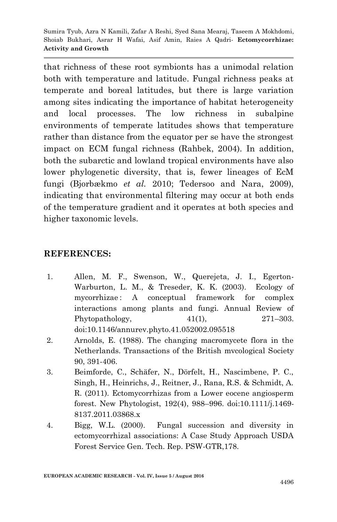that richness of these root symbionts has a unimodal relation both with temperature and latitude. Fungal richness peaks at temperate and boreal latitudes, but there is large variation among sites indicating the importance of habitat heterogeneity and local processes. The low richness in subalpine environments of temperate latitudes shows that temperature rather than distance from the equator per se have the strongest impact on ECM fungal richness (Rahbek, 2004). In addition, both the subarctic and lowland tropical environments have also lower phylogenetic diversity, that is, fewer lineages of EcM fungi (Bjorbækmo *et al.* 2010; Tedersoo and Nara, 2009), indicating that environmental filtering may occur at both ends of the temperature gradient and it operates at both species and higher taxonomic levels.

### **REFERENCES:**

- 1. Allen, M. F., Swenson, W., Querejeta, J. I., Egerton-Warburton, L. M., & Treseder, K. K. (2003). Ecology of mycorrhizae: A conceptual framework for complex interactions among plants and fungi. Annual Review of Phytopathology,  $41(1)$ ,  $271-303$ . doi:10.1146/annurev.phyto.41.052002.095518
- 2. Arnolds, E. (1988). The changing macromycete flora in the Netherlands. Transactions of the British mvcological Society 90, 391-406.
- 3. Beimforde, C., Schäfer, N., Dörfelt, H., Nascimbene, P. C., Singh, H., Heinrichs, J., Reitner, J., Rana, R.S. & Schmidt, A. R. (2011). Ectomycorrhizas from a Lower eocene angiosperm forest. New Phytologist, 192(4), 988–996. doi:10.1111/j.1469- 8137.2011.03868.x
- 4. Bigg, W.L. (2000). Fungal succession and diversity in ectomycorrhizal associations: A Case Study Approach USDA Forest Service Gen. Tech. Rep. PSW-GTR,178.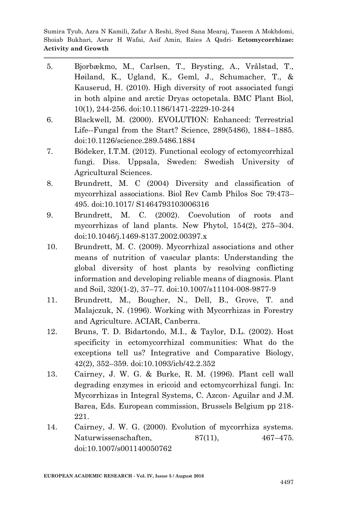- 5. Bjorbækmo, M., Carlsen, T., Brysting, A., Vrålstad, T., Høiland, K., Ugland, K., Geml, J., Schumacher, T., & Kauserud, H. (2010). High diversity of root associated fungi in both alpine and arctic Dryas octopetala. BMC Plant Biol, 10(1), 244-256. doi:10.1186/1471-2229-10-244
- 6. Blackwell, M. (2000). EVOLUTION: Enhanced: Terrestrial Life--Fungal from the Start? Science, 289(5486), 1884–1885. doi:10.1126/science.289.5486.1884
- 7. Bödeker, I.T.M. (2012). Functional ecology of ectomycorrhizal fungi. Diss. Uppsala, Sweden: Swedish University of Agricultural Sciences.
- 8. Brundrett, M. C (2004) Diversity and classification of mycorrhizal associations. Biol Rev Camb Philos Soc 79:473– 495. doi:10.1017/ S1464793103006316
- 9. Brundrett, M. C. (2002). Coevolution of roots and mycorrhizas of land plants. New Phytol, 154(2), 275–304. doi:10.1046/j.1469-8137.2002.00397.x
- 10. Brundrett, M. C. (2009). Mycorrhizal associations and other means of nutrition of vascular plants: Understanding the global diversity of host plants by resolving conflicting information and developing reliable means of diagnosis. Plant and Soil, 320(1-2), 37–77. doi:10.1007/s11104-008-9877-9
- 11. Brundrett, M., Bougher, N., Dell, B., Grove, T. and Malajczuk, N. (1996). Working with Mycorrhizas in Forestry and Agriculture. ACIAR, Canberra.
- 12. Bruns, T. D. Bidartondo, M.I., & Taylor, D.L. (2002). Host specificity in ectomycorrhizal communities: What do the exceptions tell us? Integrative and Comparative Biology, 42(2), 352–359. doi:10.1093/icb/42.2.352
- 13. Cairney, J. W. G. & Burke, R. M. (1996). Plant cell wall degrading enzymes in ericoid and ectomycorrhizal fungi. In: Mycorrhizas in Integral Systems, C. Azcon- Aguilar and J.M. Barea, Eds. European commission, Brussels Belgium pp 218- 221.
- 14. Cairney, J. W. G. (2000). Evolution of mycorrhiza systems. Naturwissenschaften, 87(11), 467–475. doi:10.1007/s001140050762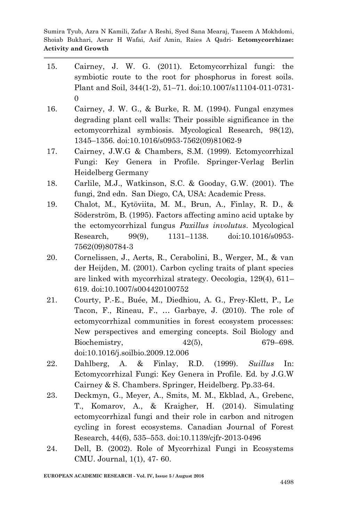- 15. Cairney, J. W. G. (2011). Ectomycorrhizal fungi: the symbiotic route to the root for phosphorus in forest soils. Plant and Soil, 344(1-2), 51–71. doi:10.1007/s11104-011-0731- 0
- 16. Cairney, J. W. G., & Burke, R. M. (1994). Fungal enzymes degrading plant cell walls: Their possible significance in the ectomycorrhizal symbiosis. Mycological Research, 98(12), 1345–1356. doi:10.1016/s0953-7562(09)81062-9
- 17. Cairney, J.W.G & Chambers, S.M. (1999). Ectomycorrhizal Fungi: Key Genera in Profile. Springer-Verlag Berlin Heidelberg Germany
- 18. Carlile, M.J., Watkinson, S.C. & Gooday, G.W. (2001). The fungi, 2nd edn. San Diego, CA, USA: Academic Press.
- 19. Chalot, M., Kytöviita, M. M., Brun, A., Finlay, R. D., & Söderström, B. (1995). Factors affecting amino acid uptake by the ectomycorrhizal fungus *Paxillus involutus*. Mycological Research, 99(9), 1131–1138. doi:10.1016/s0953- 7562(09)80784-3
- 20. Cornelissen, J., Aerts, R., Cerabolini, B., Werger, M., & van der Heijden, M. (2001). Carbon cycling traits of plant species are linked with mycorrhizal strategy. Oecologia, 129(4), 611– 619. doi:10.1007/s004420100752
- 21. Courty, P.-E., Buée, M., Diedhiou, A. G., Frey-Klett, P., Le Tacon, F., Rineau, F., … Garbaye, J. (2010). The role of ectomycorrhizal communities in forest ecosystem processes: New perspectives and emerging concepts. Soil Biology and Biochemistry, 42(5), 679–698. doi:10.1016/j.soilbio.2009.12.006
- 22. Dahlberg, A. & Finlay, R.D. (1999). *Suillus* In: Ectomycorrhizal Fungi: Key Genera in Profile. Ed. by J.G.W Cairney & S. Chambers. Springer, Heidelberg. Pp.33-64.
- 23. Deckmyn, G., Meyer, A., Smits, M. M., Ekblad, A., Grebenc, T., Komarov, A., & Kraigher, H. (2014). Simulating ectomycorrhizal fungi and their role in carbon and nitrogen cycling in forest ecosystems. Canadian Journal of Forest Research, 44(6), 535–553. doi:10.1139/cjfr-2013-0496
- 24. Dell, B. (2002). Role of Mycorrhizal Fungi in Ecosystems CMU. Journal, 1(1), 47- 60.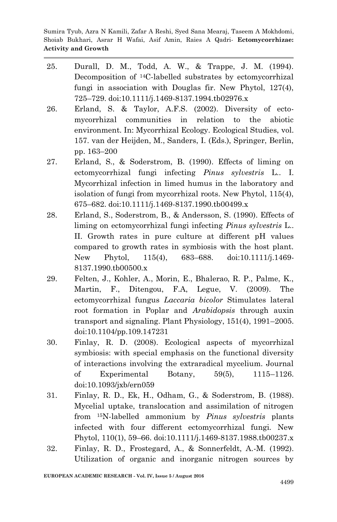- 25. Durall, D. M., Todd, A. W., & Trappe, J. M. (1994). Decomposition of 14C-labelled substrates by ectomycorrhizal fungi in association with Douglas fir. New Phytol, 127(4), 725–729. doi:10.1111/j.1469-8137.1994.tb02976.x
- 26. Erland, S. & Taylor, A.F.S. (2002). Diversity of ectomycorrhizal communities in relation to the abiotic environment. In: Mycorrhizal Ecology. Ecological Studies, vol. 157. van der Heijden, M., Sanders, I. (Eds.), Springer, Berlin, pp. 163–200
- 27. Erland, S., & Soderstrom, B. (1990). Effects of liming on ectomycorrhizal fungi infecting *Pinus sylvestris* L.. I. Mycorrhizal infection in limed humus in the laboratory and isolation of fungi from mycorrhizal roots. New Phytol, 115(4), 675–682. doi:10.1111/j.1469-8137.1990.tb00499.x
- 28. Erland, S., Soderstrom, B., & Andersson, S. (1990). Effects of liming on ectomycorrhizal fungi infecting *Pinus sylvestris* L.. II. Growth rates in pure culture at different pH values compared to growth rates in symbiosis with the host plant. New Phytol, 115(4), 683–688. doi:10.1111/j.1469- 8137.1990.tb00500.x
- 29. Felten, J., Kohler, A., Morin, E., Bhalerao, R. P., Palme, K., Martin, F., Ditengou, F.A, Legue, V. (2009). The ectomycorrhizal fungus *Laccaria bicolor* Stimulates lateral root formation in Poplar and *Arabidopsis* through auxin transport and signaling. Plant Physiology, 151(4), 1991–2005. doi:10.1104/pp.109.147231
- 30. Finlay, R. D. (2008). Ecological aspects of mycorrhizal symbiosis: with special emphasis on the functional diversity of interactions involving the extraradical mycelium. Journal of Experimental Botany, 59(5), 1115–1126. doi:10.1093/jxb/ern059
- 31. Finlay, R. D., Ek, H., Odham, G., & Soderstrom, B. (1988). Mycelial uptake, translocation and assimilation of nitrogen from 15N-labelled ammonium by *Pinus sylvestris* plants infected with four different ectomycorrhizal fungi. New Phytol, 110(1), 59–66. doi:10.1111/j.1469-8137.1988.tb00237.x
- 32. Finlay, R. D., Frostegard, A., & Sonnerfeldt, A.-M. (1992). Utilization of organic and inorganic nitrogen sources by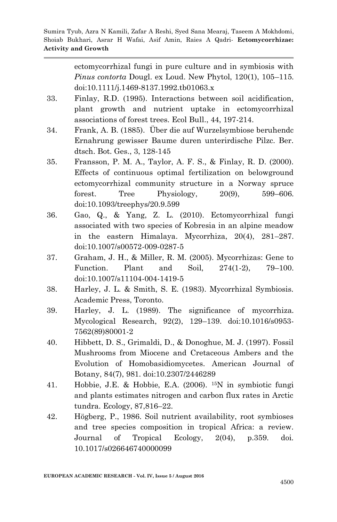> ectomycorrhizal fungi in pure culture and in symbiosis with *Pinus contorta* Dougl. ex Loud. New Phytol, 120(1), 105–115. doi:10.1111/j.1469-8137.1992.tb01063.x

- 33. Finlay, R.D. (1995). Interactions between soil acidification, plant growth and nutrient uptake in ectomycorrhizal associations of forest trees. Ecol Bull., 44, 197-214.
- 34. Frank, A. B. (1885). Über die auf Wurzelsymbiose beruhendc Ernahrung gewisser Baume duren unterirdische Pilzc. Ber. dtsch. Bot. Ges., 3, 128-145
- 35. Fransson, P. M. A., Taylor, A. F. S., & Finlay, R. D. (2000). Effects of continuous optimal fertilization on belowground ectomycorrhizal community structure in a Norway spruce forest. Tree Physiology, 20(9), 599–606. doi:10.1093/treephys/20.9.599
- 36. Gao, Q., & Yang, Z. L. (2010). Ectomycorrhizal fungi associated with two species of Kobresia in an alpine meadow in the eastern Himalaya. Mycorrhiza, 20(4), 281–287. doi:10.1007/s00572-009-0287-5
- 37. Graham, J. H., & Miller, R. M. (2005). Mycorrhizas: Gene to Function. Plant and Soil, 274(1-2), 79–100. doi:10.1007/s11104-004-1419-5
- 38. Harley, J. L. & Smith, S. E. (1983). Mycorrhizal Symbiosis. Academic Press, Toronto.
- 39. Harley, J. L. (1989). The significance of mycorrhiza. Mycological Research, 92(2), 129–139. doi:10.1016/s0953- 7562(89)80001-2
- 40. Hibbett, D. S., Grimaldi, D., & Donoghue, M. J. (1997). Fossil Mushrooms from Miocene and Cretaceous Ambers and the Evolution of Homobasidiomycetes. American Journal of Botany, 84(7), 981. doi:10.2307/2446289
- 41. Hobbie, J.E. & Hobbie, E.A. (2006). 15N in symbiotic fungi and plants estimates nitrogen and carbon flux rates in Arctic tundra. Ecology, 87,816–22.
- 42. Högberg, P., 1986. Soil nutrient availability, root symbioses and tree species composition in tropical Africa: a review. Journal of Tropical Ecology, 2(04), p.359. doi. 10.1017/s026646740000099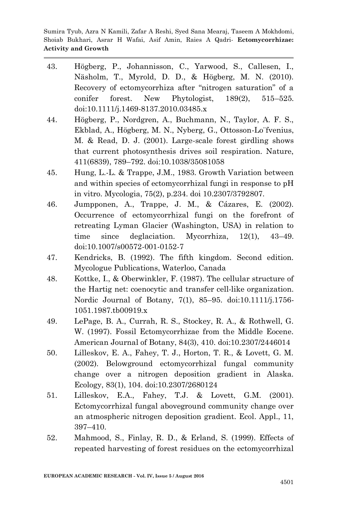- 43. Högberg, P., Johannisson, C., Yarwood, S., Callesen, I., Näsholm, T., Myrold, D. D., & Högberg, M. N. (2010). Recovery of ectomycorrhiza after "nitrogen saturation" of a conifer forest. New Phytologist, 189(2), 515–525. doi:10.1111/j.1469-8137.2010.03485.x
- 44. Högberg, P., Nordgren, A., Buchmann, N., Taylor, A. F. S., Ekblad, A., Högberg, M. N., Nyberg, G., Ottosson-Lo¨fvenius, M. & Read, D. J. (2001). Large-scale forest girdling shows that current photosynthesis drives soil respiration. Nature, 411(6839), 789–792. doi:10.1038/35081058
- 45. Hung, L.-L. & Trappe, J.M., 1983. Growth Variation between and within species of ectomycorrhizal fungi in response to pH in vitro. Mycologia, 75(2), p.234. doi 10.2307/3792807.
- 46. Jumpponen, A., Trappe, J. M., & Cázares, E. (2002). Occurrence of ectomycorrhizal fungi on the forefront of retreating Lyman Glacier (Washington, USA) in relation to time since deglaciation. Mycorrhiza, 12(1), 43–49. doi:10.1007/s00572-001-0152-7
- 47. Kendricks, B. (1992). The fifth kingdom. Second edition. Mycologue Publications, Waterloo, Canada
- 48. Kottke, I., & Oberwinkler, F. (1987). The cellular structure of the Hartig net: coenocytic and transfer cell-like organization. Nordic Journal of Botany, 7(1), 85–95. doi:10.1111/j.1756- 1051.1987.tb00919.x
- 49. LePage, B. A., Currah, R. S., Stockey, R. A., & Rothwell, G. W. (1997). Fossil Ectomycorrhizae from the Middle Eocene. American Journal of Botany, 84(3), 410. doi:10.2307/2446014
- 50. Lilleskov, E. A., Fahey, T. J., Horton, T. R., & Lovett, G. M. (2002). Belowground ectomycorrhizal fungal community change over a nitrogen deposition gradient in Alaska. Ecology, 83(1), 104. doi:10.2307/2680124
- 51. Lilleskov, E.A., Fahey, T.J. & Lovett, G.M. (2001). Ectomycorrhizal fungal aboveground community change over an atmospheric nitrogen deposition gradient. Ecol. Appl., 11, 397–410.
- 52. Mahmood, S., Finlay, R. D., & Erland, S. (1999). Effects of repeated harvesting of forest residues on the ectomycorrhizal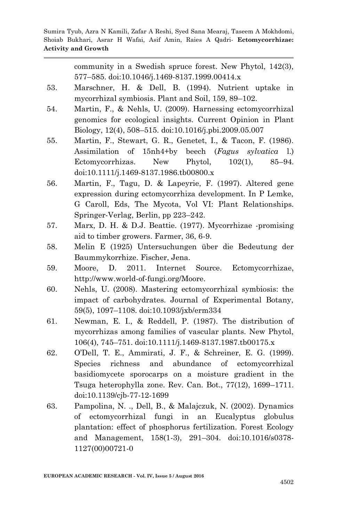community in a Swedish spruce forest. New Phytol, 142(3), 577–585. doi:10.1046/j.1469-8137.1999.00414.x 53. Marschner, H. & Dell, B. (1994). Nutrient uptake in mycorrhizal symbiosis. Plant and Soil, 159, 89–102. 54. Martin, F., & Nehls, U. (2009). Harnessing ectomycorrhizal genomics for ecological insights. Current Opinion in Plant Biology, 12(4), 508–515. doi:10.1016/j.pbi.2009.05.007 55. Martin, F., Stewart, G. R., Genetet, I., & Tacon, F. (1986). Assimilation of 15nh4+by beech (*Fagus sylvatica* l.) Ectomycorrhizas. New Phytol, 102(1), 85–94. doi:10.1111/j.1469-8137.1986.tb00800.x 56. Martin, F., Tagu, D. & Lapeyrie, F. (1997). Altered gene expression during ectomycorrhiza development. In P Lemke, G Caroll, Eds, The Mycota, Vol VI: Plant Relationships. Springer-Verlag, Berlin, pp 223–242. 57. Marx, D. H. & D.J. Beattie. (1977). Mycorrhizae -promising aid to timber growers. Farmer, 36, 6-9. 58. Melin E (1925) Untersuchungen über die Bedeutung der

- Baummykorrhize. Fischer, Jena.
- 59. Moore, D. 2011. Internet Source. Ectomycorrhizae, http://www.world-of-fungi.org/Moore.
- 60. Nehls, U. (2008). Mastering ectomycorrhizal symbiosis: the impact of carbohydrates. Journal of Experimental Botany, 59(5), 1097–1108. doi:10.1093/jxb/erm334
- 61. Newman, E. I., & Reddell, P. (1987). The distribution of mycorrhizas among families of vascular plants. New Phytol, 106(4), 745–751. doi:10.1111/j.1469-8137.1987.tb00175.x
- 62. O'Dell, T. E., Ammirati, J. F., & Schreiner, E. G. (1999). Species richness and abundance of ectomycorrhizal basidiomycete sporocarps on a moisture gradient in the Tsuga heterophylla zone. Rev. Can. Bot., 77(12), 1699–1711. doi:10.1139/cjb-77-12-1699
- 63. Pampolina, N. ., Dell, B., & Malajczuk, N. (2002). Dynamics of ectomycorrhizal fungi in an Eucalyptus globulus plantation: effect of phosphorus fertilization. Forest Ecology and Management, 158(1-3), 291–304. doi:10.1016/s0378- 1127(00)00721-0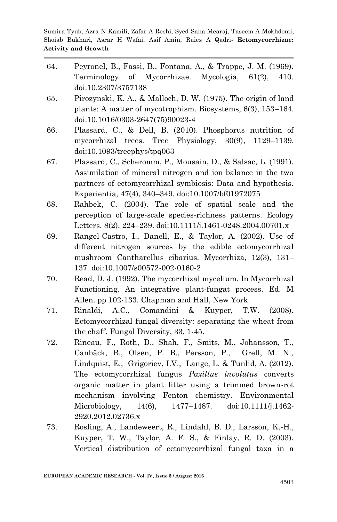- 64. Peyronel, B., Fassi, B., Fontana, A., & Trappe, J. M. (1969). Terminology of Mycorrhizae. Mycologia, 61(2), 410. doi:10.2307/3757138
- 65. Pirozynski, K. A., & Malloch, D. W. (1975). The origin of land plants: A matter of mycotrophism. Biosystems, 6(3), 153–164. doi:10.1016/0303-2647(75)90023-4
- 66. Plassard, C., & Dell, B. (2010). Phosphorus nutrition of mycorrhizal trees. Tree Physiology, 30(9), 1129–1139. doi:10.1093/treephys/tpq063
- 67. Plassard, C., Scheromm, P., Mousain, D., & Salsac, L. (1991). Assimilation of mineral nitrogen and ion balance in the two partners of ectomycorrhizal symbiosis: Data and hypothesis. Experientia, 47(4), 340–349. doi:10.1007/bf01972075
- 68. Rahbek, C. (2004). The role of spatial scale and the perception of large-scale species-richness patterns. Ecology Letters, 8(2), 224–239. doi:10.1111/j.1461-0248.2004.00701.x
- 69. Rangel-Castro, I., Danell, E., & Taylor, A. (2002). Use of different nitrogen sources by the edible ectomycorrhizal mushroom Cantharellus cibarius. Mycorrhiza, 12(3), 131– 137. doi:10.1007/s00572-002-0160-2
- 70. Read, D. J. (1992). The mycorrhizal mycelium. In Mycorrhizal Functioning. An integrative plant-fungat process. Ed. M Allen. pp 102-133. Chapman and Hall, New York.
- 71. Rinaldi, A.C., Comandini & Kuyper, T.W. (2008). Ectomycorrhizal fungal diversity: separating the wheat from the chaff. Fungal Diversity, 33, 1-45.
- 72. Rineau, F., Roth, D., Shah, F., Smits, M., Johansson, T., Canbäck, B., Olsen, P. B., Persson, P., Grell, M. N., Lindquist, E., Grigoriev, I.V., Lange, L. & Tunlid, A. (2012). The ectomycorrhizal fungus *Paxillus involutus* converts organic matter in plant litter using a trimmed brown-rot mechanism involving Fenton chemistry. Environmental Microbiology, 14(6), 1477–1487. doi:10.1111/j.1462- 2920.2012.02736.x
- 73. Rosling, A., Landeweert, R., Lindahl, B. D., Larsson, K.-H., Kuyper, T. W., Taylor, A. F. S., & Finlay, R. D. (2003). Vertical distribution of ectomycorrhizal fungal taxa in a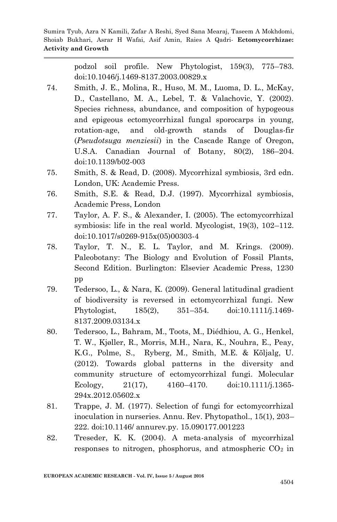> podzol soil profile. New Phytologist, 159(3), 775–783. doi:10.1046/j.1469-8137.2003.00829.x

- 74. Smith, J. E., Molina, R., Huso, M. M., Luoma, D. L., McKay, D., Castellano, M. A., Lebel, T. & Valachovic, Y. (2002). Species richness, abundance, and composition of hypogeous and epigeous ectomycorrhizal fungal sporocarps in young, rotation-age, and old-growth stands of Douglas-fir (*Pseudotsuga menziesii*) in the Cascade Range of Oregon, U.S.A. Canadian Journal of Botany, 80(2), 186–204. doi:10.1139/b02-003
- 75. Smith, S. & Read, D. (2008). Mycorrhizal symbiosis, 3rd edn. London, UK: Academic Press.
- 76. Smith, S.E. & Read, D.J. (1997). Mycorrhizal symbiosis, Academic Press, London
- 77. Taylor, A. F. S., & Alexander, I. (2005). The ectomycorrhizal symbiosis: life in the real world. Mycologist, 19(3), 102–112. doi:10.1017/s0269-915x(05)00303-4
- 78. Taylor, T. N., E. L. Taylor, and M. Krings. (2009). Paleobotany: The Biology and Evolution of Fossil Plants, Second Edition. Burlington: Elsevier Academic Press, 1230 pp
- 79. Tedersoo, L., & Nara, K. (2009). General latitudinal gradient of biodiversity is reversed in ectomycorrhizal fungi. New Phytologist, 185(2), 351–354. doi:10.1111/j.1469- 8137.2009.03134.x
- 80. Tedersoo, L., Bahram, M., Toots, M., Diédhiou, A. G., Henkel, T. W., Kjøller, R., Morris, M.H., Nara, K., Nouhra, E., Peay, K.G., Polme, S., Ryberg, M., Smith, M.E. & Kõljalg, U. (2012). Towards global patterns in the diversity and community structure of ectomycorrhizal fungi. Molecular Ecology, 21(17), 4160–4170. doi:10.1111/j.1365- 294x.2012.05602.x
- 81. Trappe, J. M. (1977). Selection of fungi for ectomycorrhizal inoculation in nurseries. Annu. Rev. Phytopathol., 15(1), 203– 222. doi:10.1146/ annurev.py. 15.090177.001223
- 82. Treseder, K. K. (2004). A meta-analysis of mycorrhizal responses to nitrogen, phosphorus, and atmospheric  $CO<sub>2</sub>$  in